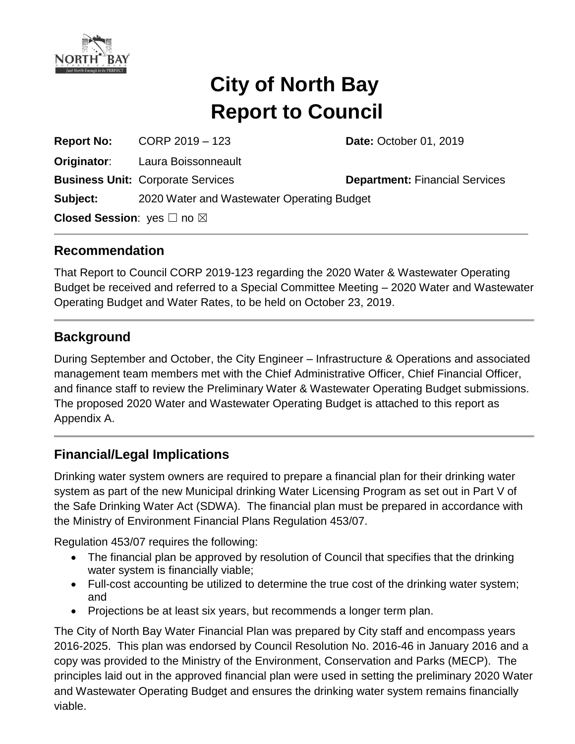

# **City of North Bay Report to Council**

**Report No:** CORP 2019 – 123 **Date:** October 01, 2019 **Originator**: Laura Boissonneault **Business Unit: Corporate Services <b>Department:** Financial Services **Subject:** 2020 Water and Wastewater Operating Budget **Closed Session: yes** □ no ⊠

#### **Recommendation**

That Report to Council CORP 2019-123 regarding the 2020 Water & Wastewater Operating Budget be received and referred to a Special Committee Meeting – 2020 Water and Wastewater Operating Budget and Water Rates, to be held on October 23, 2019.

#### **Background**

During September and October, the City Engineer – Infrastructure & Operations and associated management team members met with the Chief Administrative Officer, Chief Financial Officer, and finance staff to review the Preliminary Water & Wastewater Operating Budget submissions. The proposed 2020 Water and Wastewater Operating Budget is attached to this report as Appendix A.

## **Financial/Legal Implications**

Drinking water system owners are required to prepare a financial plan for their drinking water system as part of the new Municipal drinking Water Licensing Program as set out in Part V of the Safe Drinking Water Act (SDWA). The financial plan must be prepared in accordance with the Ministry of Environment Financial Plans Regulation 453/07.

Regulation 453/07 requires the following:

- The financial plan be approved by resolution of Council that specifies that the drinking water system is financially viable;
- Full-cost accounting be utilized to determine the true cost of the drinking water system; and
- Projections be at least six years, but recommends a longer term plan.

The City of North Bay Water Financial Plan was prepared by City staff and encompass years 2016-2025. This plan was endorsed by Council Resolution No. 2016-46 in January 2016 and a copy was provided to the Ministry of the Environment, Conservation and Parks (MECP). The principles laid out in the approved financial plan were used in setting the preliminary 2020 Water and Wastewater Operating Budget and ensures the drinking water system remains financially viable.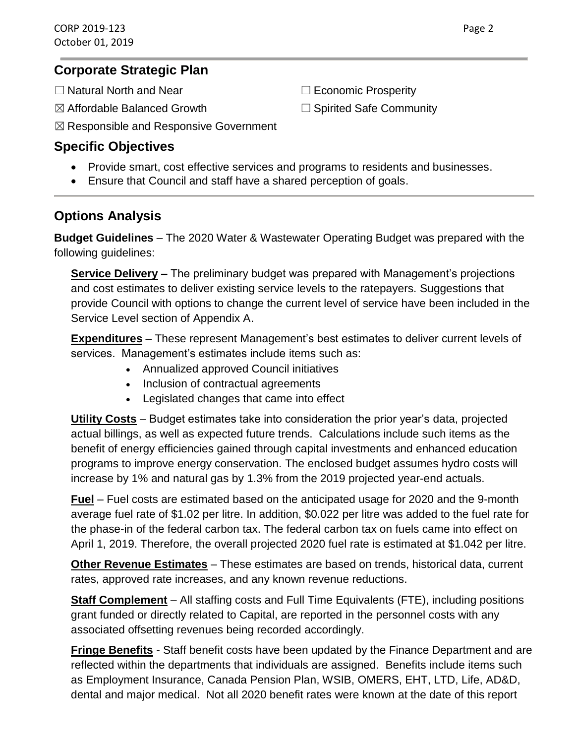#### **Corporate Strategic Plan**

- ☐ Natural North and Near ☐ Economic Prosperity
- ☒ Affordable Balanced Growth ☐ Spirited Safe Community

- 
- ☒ Responsible and Responsive Government

## **Specific Objectives**

- Provide smart, cost effective services and programs to residents and businesses.
- Ensure that Council and staff have a shared perception of goals.

# **Options Analysis**

**Budget Guidelines** – The 2020 Water & Wastewater Operating Budget was prepared with the following guidelines:

**Service Delivery –** The preliminary budget was prepared with Management's projections and cost estimates to deliver existing service levels to the ratepayers. Suggestions that provide Council with options to change the current level of service have been included in the Service Level section of Appendix A.

**Expenditures** – These represent Management's best estimates to deliver current levels of services. Management's estimates include items such as:

- Annualized approved Council initiatives
- Inclusion of contractual agreements
- Legislated changes that came into effect

**Utility Costs** – Budget estimates take into consideration the prior year's data, projected actual billings, as well as expected future trends. Calculations include such items as the benefit of energy efficiencies gained through capital investments and enhanced education programs to improve energy conservation. The enclosed budget assumes hydro costs will increase by 1% and natural gas by 1.3% from the 2019 projected year-end actuals.

**Fuel** – Fuel costs are estimated based on the anticipated usage for 2020 and the 9-month average fuel rate of \$1.02 per litre. In addition, \$0.022 per litre was added to the fuel rate for the phase-in of the federal carbon tax. The federal carbon tax on fuels came into effect on April 1, 2019. Therefore, the overall projected 2020 fuel rate is estimated at \$1.042 per litre.

**Other Revenue Estimates** – These estimates are based on trends, historical data, current rates, approved rate increases, and any known revenue reductions.

**Staff Complement** – All staffing costs and Full Time Equivalents (FTE), including positions grant funded or directly related to Capital, are reported in the personnel costs with any associated offsetting revenues being recorded accordingly.

**Fringe Benefits** - Staff benefit costs have been updated by the Finance Department and are reflected within the departments that individuals are assigned. Benefits include items such as Employment Insurance, Canada Pension Plan, WSIB, OMERS, EHT, LTD, Life, AD&D, dental and major medical. Not all 2020 benefit rates were known at the date of this report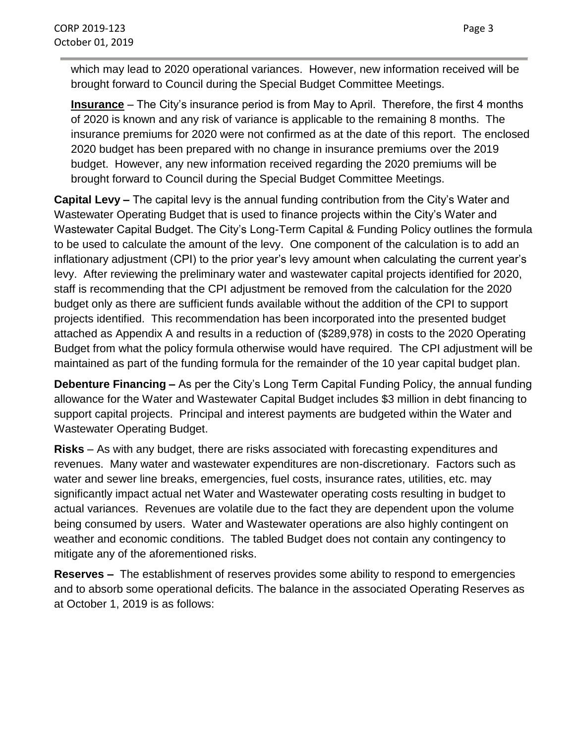which may lead to 2020 operational variances. However, new information received will be brought forward to Council during the Special Budget Committee Meetings.

**Insurance** – The City's insurance period is from May to April. Therefore, the first 4 months of 2020 is known and any risk of variance is applicable to the remaining 8 months. The insurance premiums for 2020 were not confirmed as at the date of this report. The enclosed 2020 budget has been prepared with no change in insurance premiums over the 2019 budget. However, any new information received regarding the 2020 premiums will be brought forward to Council during the Special Budget Committee Meetings.

**Capital Levy –** The capital levy is the annual funding contribution from the City's Water and Wastewater Operating Budget that is used to finance projects within the City's Water and Wastewater Capital Budget. The City's Long-Term Capital & Funding Policy outlines the formula to be used to calculate the amount of the levy. One component of the calculation is to add an inflationary adjustment (CPI) to the prior year's levy amount when calculating the current year's levy. After reviewing the preliminary water and wastewater capital projects identified for 2020, staff is recommending that the CPI adjustment be removed from the calculation for the 2020 budget only as there are sufficient funds available without the addition of the CPI to support projects identified. This recommendation has been incorporated into the presented budget attached as Appendix A and results in a reduction of (\$289,978) in costs to the 2020 Operating Budget from what the policy formula otherwise would have required. The CPI adjustment will be maintained as part of the funding formula for the remainder of the 10 year capital budget plan.

**Debenture Financing –** As per the City's Long Term Capital Funding Policy, the annual funding allowance for the Water and Wastewater Capital Budget includes \$3 million in debt financing to support capital projects. Principal and interest payments are budgeted within the Water and Wastewater Operating Budget.

**Risks** – As with any budget, there are risks associated with forecasting expenditures and revenues. Many water and wastewater expenditures are non-discretionary. Factors such as water and sewer line breaks, emergencies, fuel costs, insurance rates, utilities, etc. may significantly impact actual net Water and Wastewater operating costs resulting in budget to actual variances. Revenues are volatile due to the fact they are dependent upon the volume being consumed by users. Water and Wastewater operations are also highly contingent on weather and economic conditions. The tabled Budget does not contain any contingency to mitigate any of the aforementioned risks.

**Reserves –** The establishment of reserves provides some ability to respond to emergencies and to absorb some operational deficits. The balance in the associated Operating Reserves as at October 1, 2019 is as follows: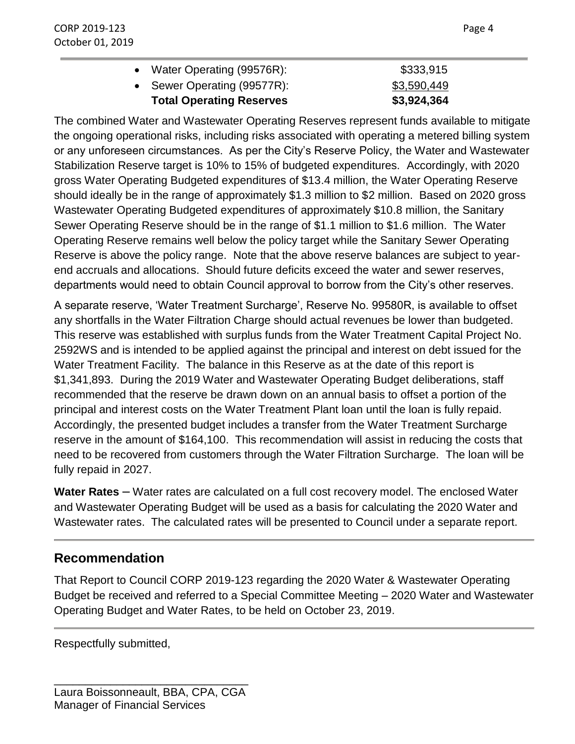| <b>Total Operating Reserves</b> | \$3,924,364 |
|---------------------------------|-------------|
| • Sewer Operating (99577R):     | \$3,590,449 |
| • Water Operating (99576R):     | \$333,915   |

The combined Water and Wastewater Operating Reserves represent funds available to mitigate the ongoing operational risks, including risks associated with operating a metered billing system or any unforeseen circumstances. As per the City's Reserve Policy, the Water and Wastewater Stabilization Reserve target is 10% to 15% of budgeted expenditures. Accordingly, with 2020 gross Water Operating Budgeted expenditures of \$13.4 million, the Water Operating Reserve should ideally be in the range of approximately \$1.3 million to \$2 million. Based on 2020 gross Wastewater Operating Budgeted expenditures of approximately \$10.8 million, the Sanitary Sewer Operating Reserve should be in the range of \$1.1 million to \$1.6 million. The Water Operating Reserve remains well below the policy target while the Sanitary Sewer Operating Reserve is above the policy range. Note that the above reserve balances are subject to yearend accruals and allocations. Should future deficits exceed the water and sewer reserves, departments would need to obtain Council approval to borrow from the City's other reserves.

A separate reserve, 'Water Treatment Surcharge', Reserve No. 99580R, is available to offset any shortfalls in the Water Filtration Charge should actual revenues be lower than budgeted. This reserve was established with surplus funds from the Water Treatment Capital Project No. 2592WS and is intended to be applied against the principal and interest on debt issued for the Water Treatment Facility. The balance in this Reserve as at the date of this report is \$1,341,893. During the 2019 Water and Wastewater Operating Budget deliberations, staff recommended that the reserve be drawn down on an annual basis to offset a portion of the principal and interest costs on the Water Treatment Plant loan until the loan is fully repaid. Accordingly, the presented budget includes a transfer from the Water Treatment Surcharge reserve in the amount of \$164,100. This recommendation will assist in reducing the costs that need to be recovered from customers through the Water Filtration Surcharge. The loan will be fully repaid in 2027.

**Water Rates** – Water rates are calculated on a full cost recovery model. The enclosed Water and Wastewater Operating Budget will be used as a basis for calculating the 2020 Water and Wastewater rates. The calculated rates will be presented to Council under a separate report.

#### **Recommendation**

That Report to Council CORP 2019-123 regarding the 2020 Water & Wastewater Operating Budget be received and referred to a Special Committee Meeting – 2020 Water and Wastewater Operating Budget and Water Rates, to be held on October 23, 2019.

Respectfully submitted,

\_\_\_\_\_\_\_\_\_\_\_\_\_\_\_\_\_\_\_\_\_\_\_\_\_\_\_\_\_\_\_